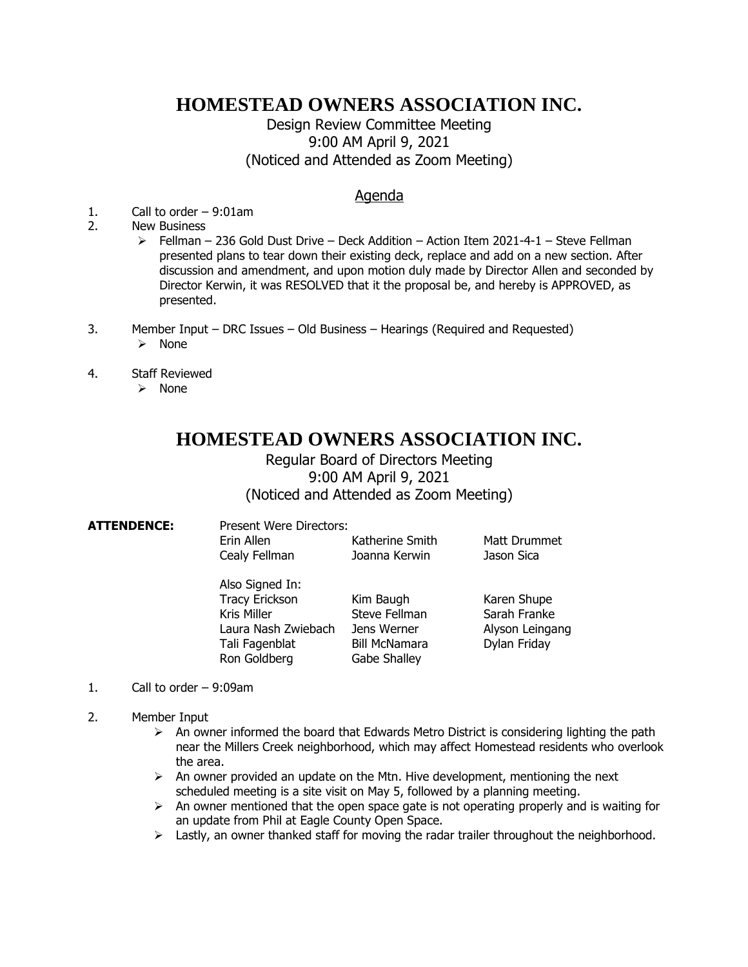## **HOMESTEAD OWNERS ASSOCIATION INC.**

Design Review Committee Meeting 9:00 AM April 9, 2021 (Noticed and Attended as Zoom Meeting)

## Agenda

- 1. Call to order 9:01am
- 2. New Business
	- $\ge$  Fellman 236 Gold Dust Drive Deck Addition Action Item 2021-4-1 Steve Fellman presented plans to tear down their existing deck, replace and add on a new section. After discussion and amendment, and upon motion duly made by Director Allen and seconded by Director Kerwin, it was RESOLVED that it the proposal be, and hereby is APPROVED, as presented.
- 3. Member Input DRC Issues Old Business Hearings (Required and Requested)
	- ➢ None
- 4. Staff Reviewed
	- ➢ None

## **HOMESTEAD OWNERS ASSOCIATION INC.**

Regular Board of Directors Meeting 9:00 AM April 9, 2021 (Noticed and Attended as Zoom Meeting)

| <b>ATTENDENCE:</b> | <b>Present Were Directors:</b><br>Erin Allen<br>Cealy Fellman                                                    | Katherine Smith<br>Joanna Kerwin                                                  | Matt Drummet<br>Jason Sica                                     |
|--------------------|------------------------------------------------------------------------------------------------------------------|-----------------------------------------------------------------------------------|----------------------------------------------------------------|
|                    | Also Signed In:<br><b>Tracy Erickson</b><br>Kris Miller<br>Laura Nash Zwiebach<br>Tali Fagenblat<br>Ron Goldberg | Kim Baugh<br>Steve Fellman<br>Jens Werner<br><b>Bill McNamara</b><br>Gabe Shalley | Karen Shupe<br>Sarah Franke<br>Alyson Leingang<br>Dylan Friday |

- 1. Call to order 9:09am
- 2. Member Input
	- $\triangleright$  An owner informed the board that Edwards Metro District is considering lighting the path near the Millers Creek neighborhood, which may affect Homestead residents who overlook the area.
	- $\triangleright$  An owner provided an update on the Mtn. Hive development, mentioning the next scheduled meeting is a site visit on May 5, followed by a planning meeting.
	- $\triangleright$  An owner mentioned that the open space gate is not operating properly and is waiting for an update from Phil at Eagle County Open Space.
	- $\triangleright$  Lastly, an owner thanked staff for moving the radar trailer throughout the neighborhood.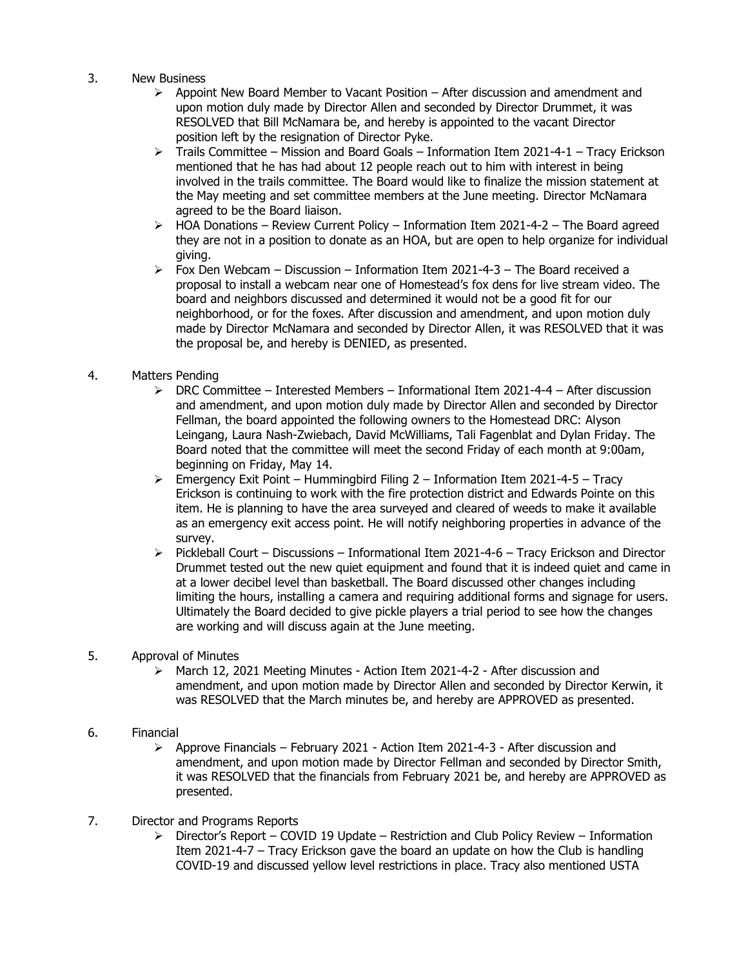- 3. New Business
	- $\triangleright$  Appoint New Board Member to Vacant Position After discussion and amendment and upon motion duly made by Director Allen and seconded by Director Drummet, it was RESOLVED that Bill McNamara be, and hereby is appointed to the vacant Director position left by the resignation of Director Pyke.
	- ➢ Trails Committee Mission and Board Goals Information Item 2021-4-1 Tracy Erickson mentioned that he has had about 12 people reach out to him with interest in being involved in the trails committee. The Board would like to finalize the mission statement at the May meeting and set committee members at the June meeting. Director McNamara agreed to be the Board liaison.
	- $\triangleright$  HOA Donations Review Current Policy Information Item 2021-4-2 The Board agreed they are not in a position to donate as an HOA, but are open to help organize for individual giving.
	- $\triangleright$  Fox Den Webcam Discussion Information Item 2021-4-3 The Board received a proposal to install a webcam near one of Homestead's fox dens for live stream video. The board and neighbors discussed and determined it would not be a good fit for our neighborhood, or for the foxes. After discussion and amendment, and upon motion duly made by Director McNamara and seconded by Director Allen, it was RESOLVED that it was the proposal be, and hereby is DENIED, as presented.
- 4. Matters Pending
	- $\triangleright$  DRC Committee Interested Members Informational Item 2021-4-4 After discussion and amendment, and upon motion duly made by Director Allen and seconded by Director Fellman, the board appointed the following owners to the Homestead DRC: Alyson Leingang, Laura Nash-Zwiebach, David McWilliams, Tali Fagenblat and Dylan Friday. The Board noted that the committee will meet the second Friday of each month at 9:00am, beginning on Friday, May 14.
	- $\triangleright$  Emergency Exit Point Hummingbird Filing 2 Information Item 2021-4-5 Tracy Erickson is continuing to work with the fire protection district and Edwards Pointe on this item. He is planning to have the area surveyed and cleared of weeds to make it available as an emergency exit access point. He will notify neighboring properties in advance of the survey.
	- $\triangleright$  Pickleball Court Discussions Informational Item 2021-4-6 Tracy Erickson and Director Drummet tested out the new quiet equipment and found that it is indeed quiet and came in at a lower decibel level than basketball. The Board discussed other changes including limiting the hours, installing a camera and requiring additional forms and signage for users. Ultimately the Board decided to give pickle players a trial period to see how the changes are working and will discuss again at the June meeting.
- 5. Approval of Minutes
	- ➢ March 12, 2021 Meeting Minutes Action Item 2021-4-2 After discussion and amendment, and upon motion made by Director Allen and seconded by Director Kerwin, it was RESOLVED that the March minutes be, and hereby are APPROVED as presented.
- 6. Financial
	- $\geq$  Approve Financials February 2021 Action Item 2021-4-3 After discussion and amendment, and upon motion made by Director Fellman and seconded by Director Smith, it was RESOLVED that the financials from February 2021 be, and hereby are APPROVED as presented.
- 7. Director and Programs Reports
	- $\triangleright$  Director's Report COVID 19 Update Restriction and Club Policy Review Information Item 2021-4-7 – Tracy Erickson gave the board an update on how the Club is handling COVID-19 and discussed yellow level restrictions in place. Tracy also mentioned USTA